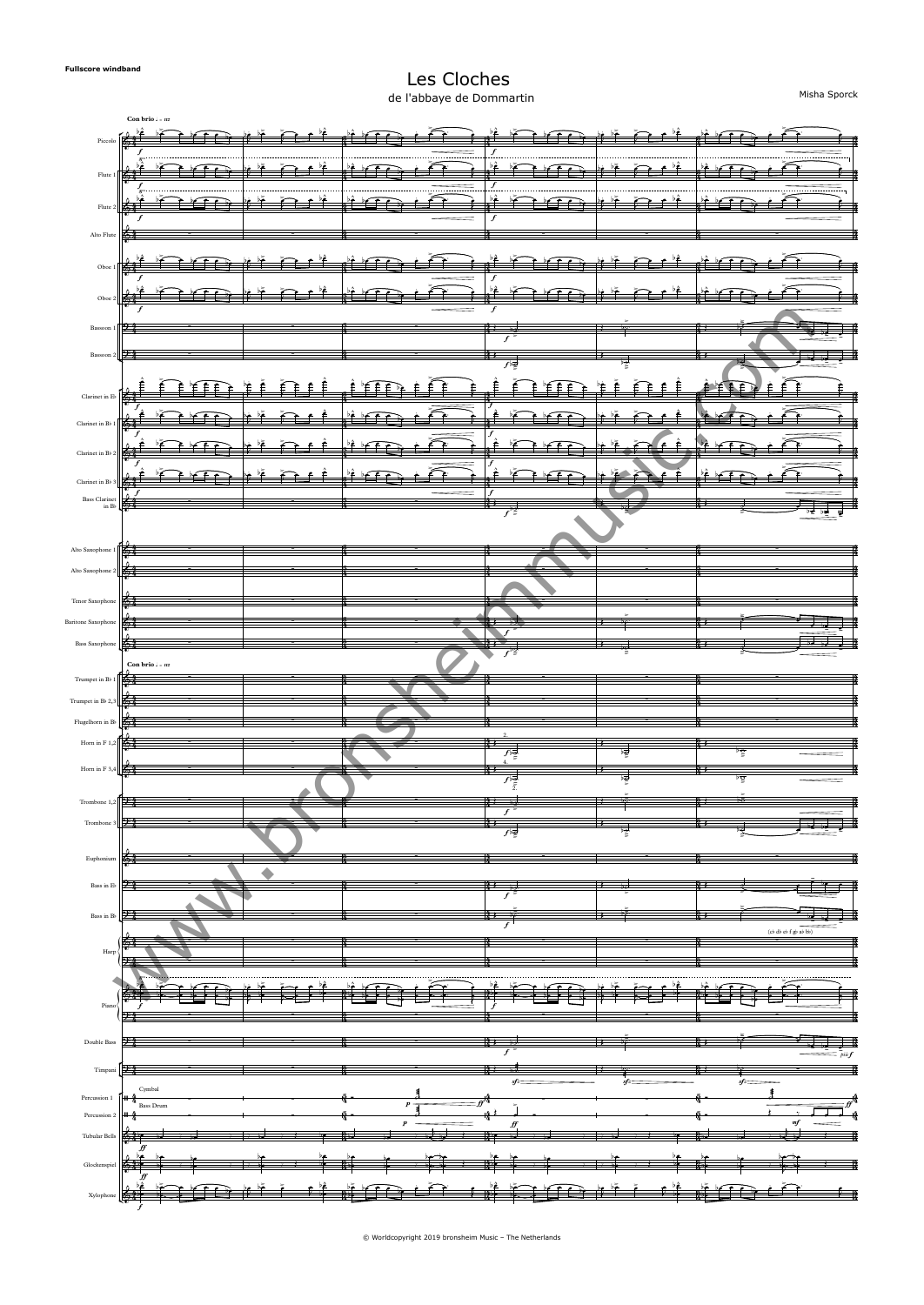© Worldcopyright 2019 bronsheim Music – The Netherlands

## Les Cloches

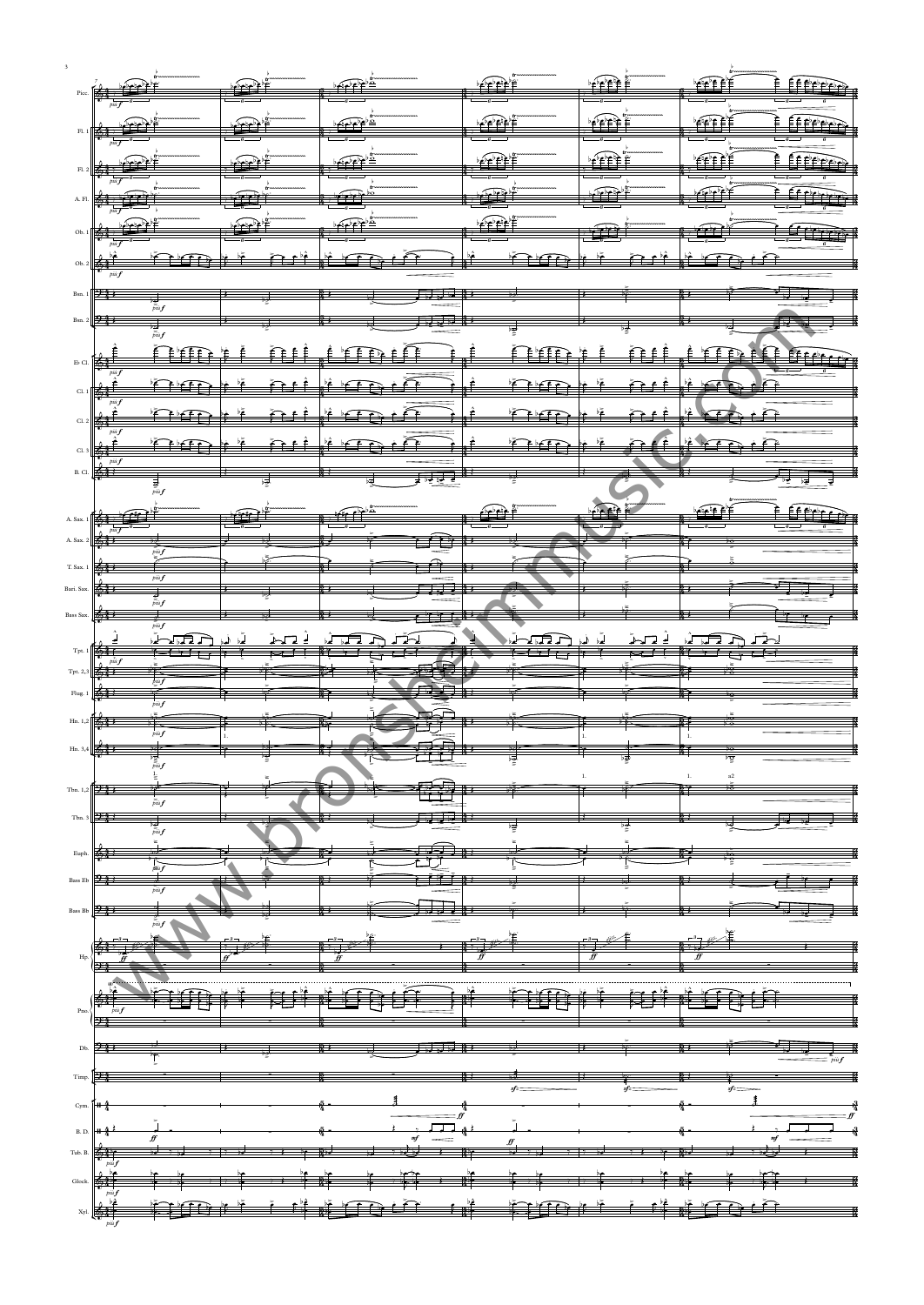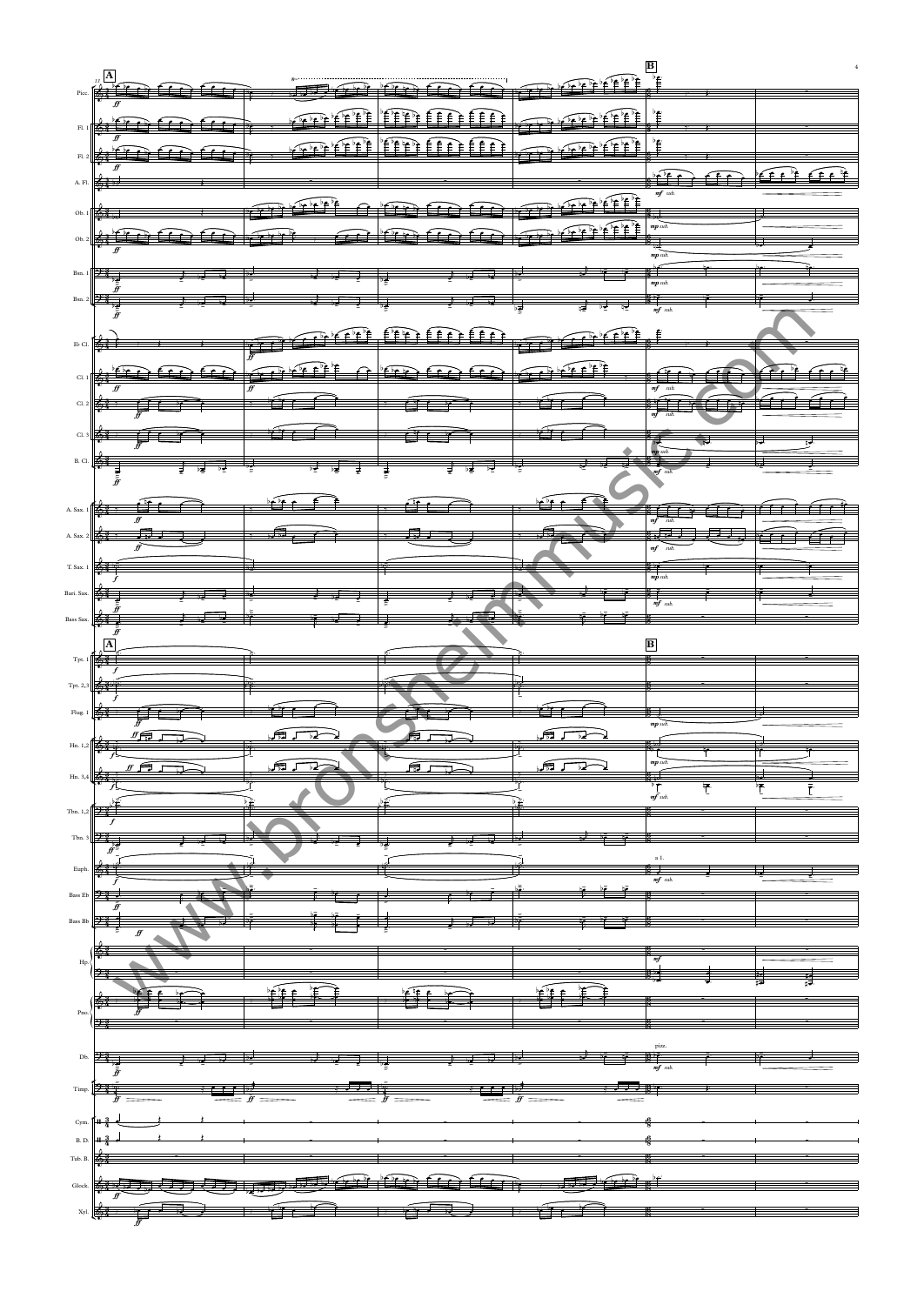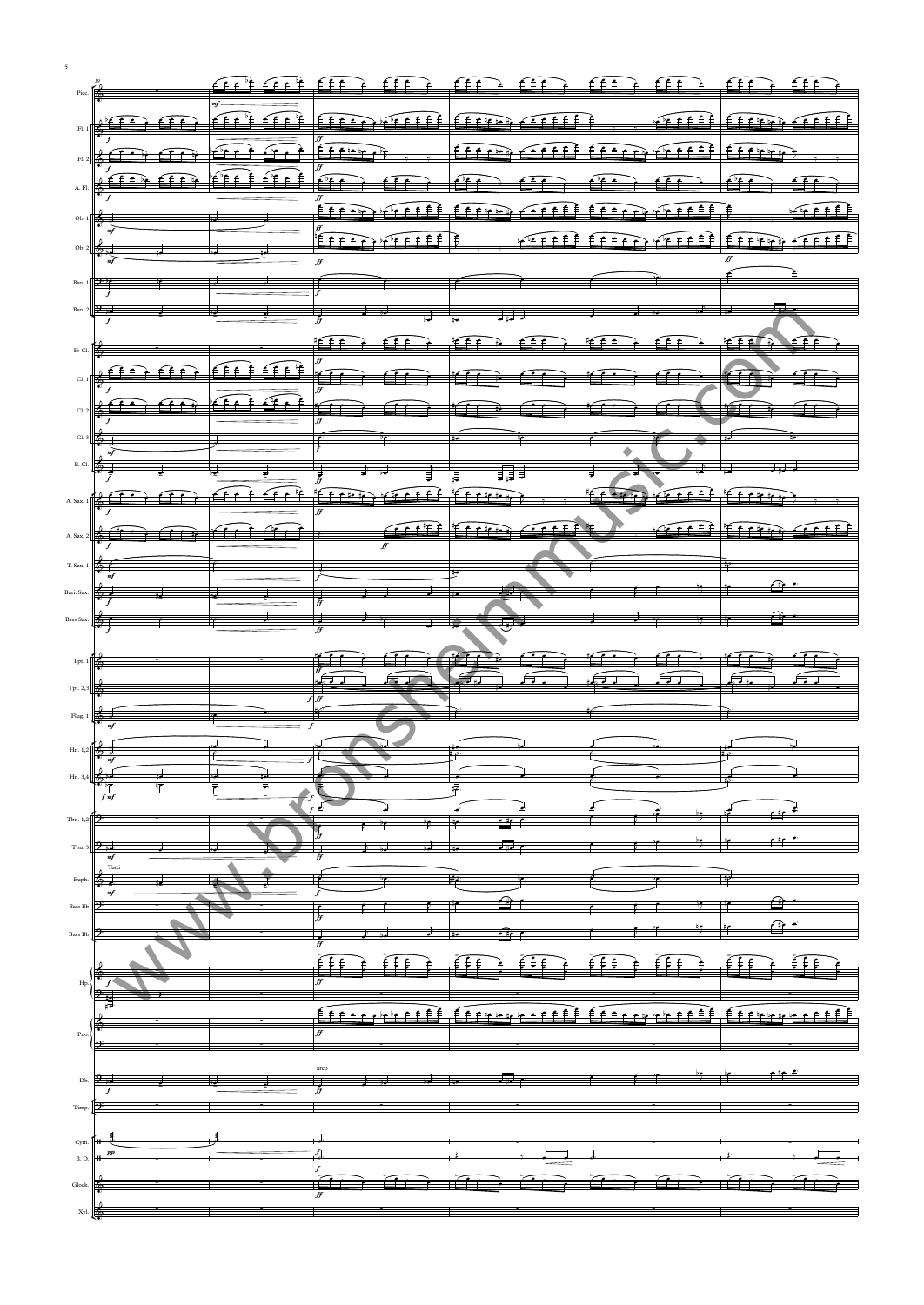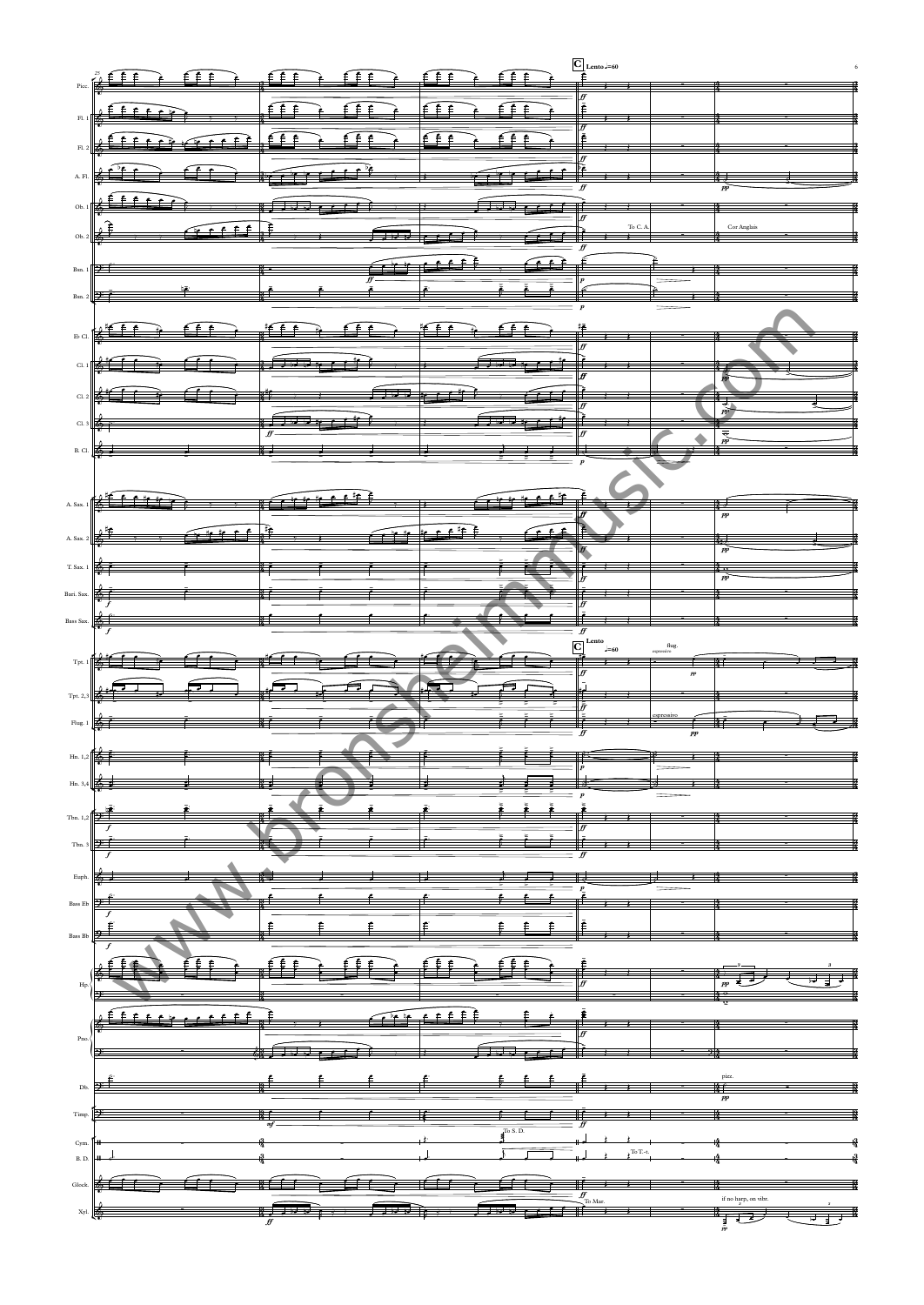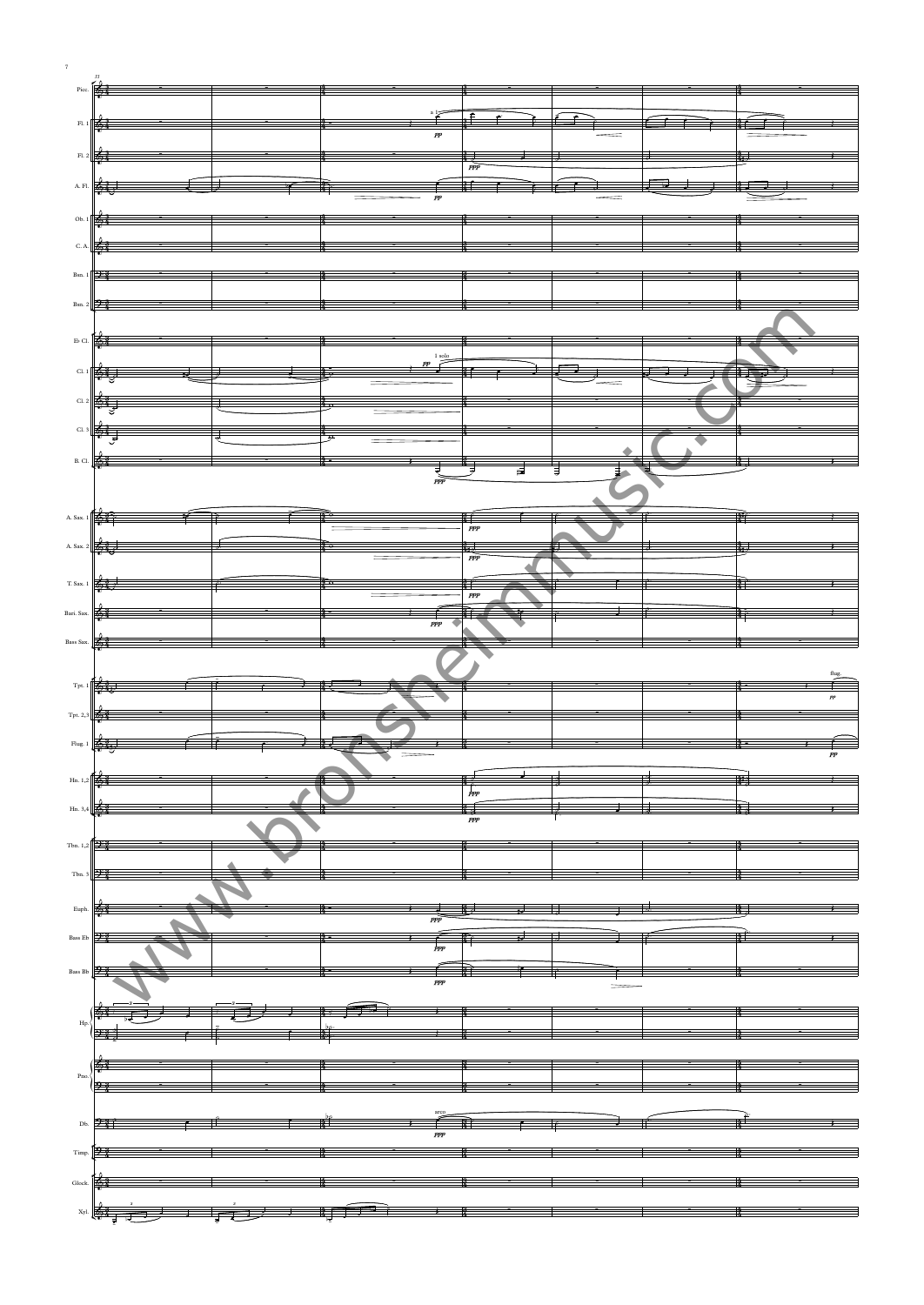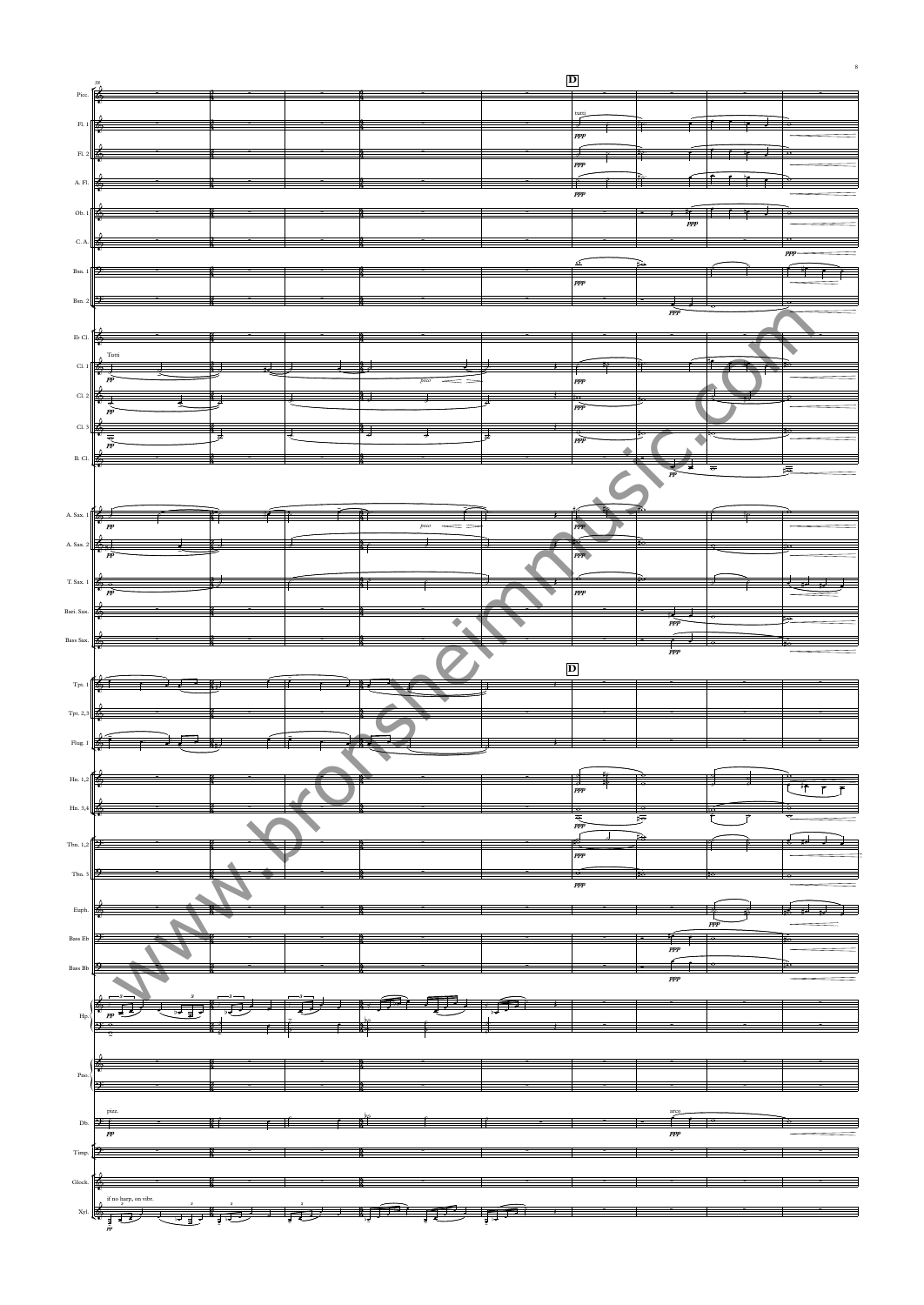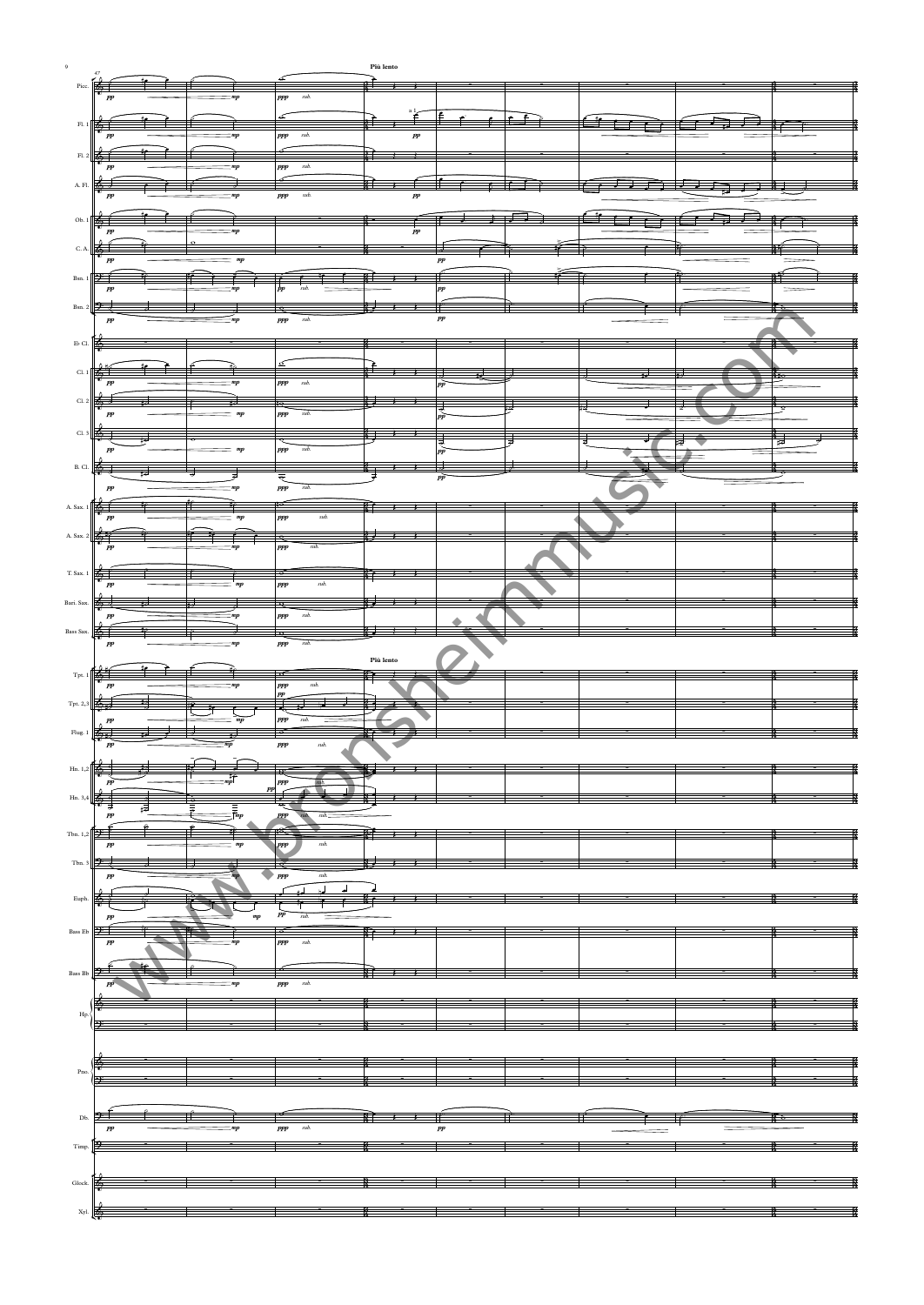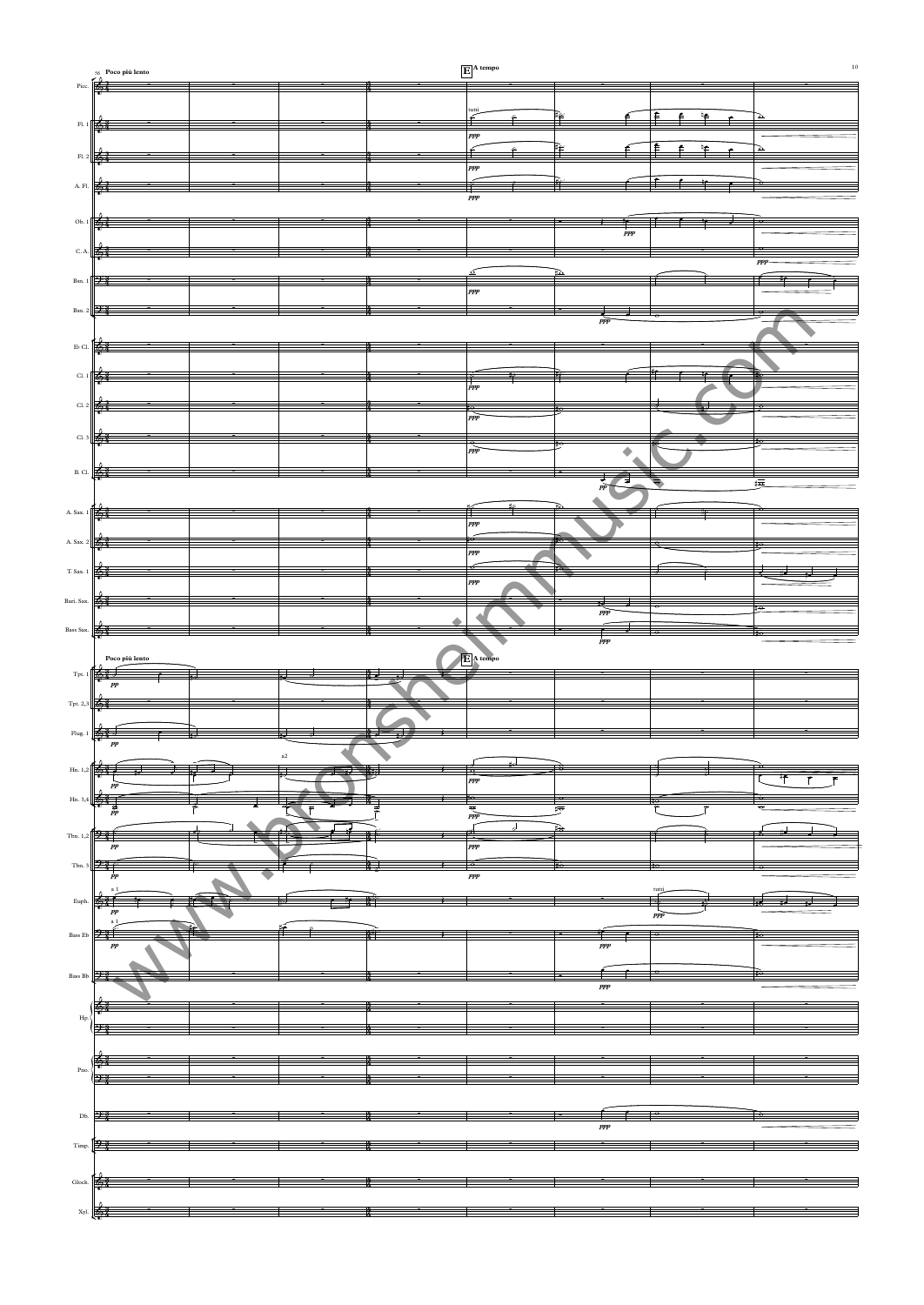